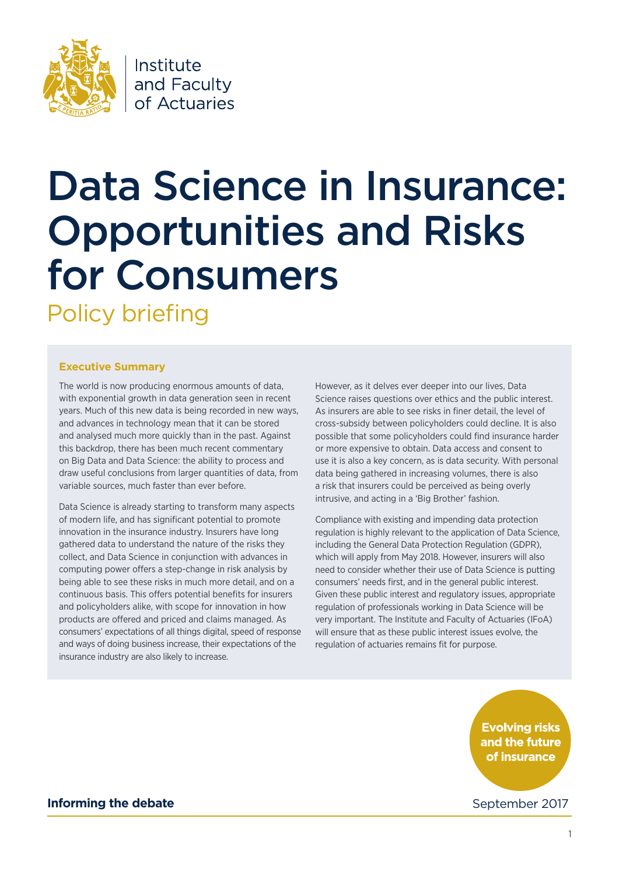

### Institute and Faculty of Actuaries

### Data Science in Insurance: Opportunities and Risks for Consumers Policy briefing

#### **Executive Summary**

The world is now producing enormous amounts of data, with exponential growth in data generation seen in recent years. Much of this new data is being recorded in new ways, and advances in technology mean that it can be stored and analysed much more quickly than in the past. Against this backdrop, there has been much recent commentary on Big Data and Data Science: the ability to process and draw useful conclusions from larger quantities of data, from variable sources, much faster than ever before.

Data Science is already starting to transform many aspects of modern life, and has significant potential to promote innovation in the insurance industry. Insurers have long gathered data to understand the nature of the risks they collect, and Data Science in conjunction with advances in computing power offers a step-change in risk analysis by being able to see these risks in much more detail, and on a continuous basis. This offers potential benefits for insurers and policyholders alike, with scope for innovation in how products are offered and priced and claims managed. As consumers' expectations of all things digital, speed of response and ways of doing business increase, their expectations of the insurance industry are also likely to increase.

However, as it delves ever deeper into our lives, Data Science raises questions over ethics and the public interest. As insurers are able to see risks in finer detail, the level of cross-subsidy between policyholders could decline. It is also possible that some policyholders could find insurance harder or more expensive to obtain. Data access and consent to use it is also a key concern, as is data security. With personal data being gathered in increasing volumes, there is also a risk that insurers could be perceived as being overly intrusive, and acting in a 'Big Brother' fashion.

Compliance with existing and impending data protection regulation is highly relevant to the application of Data Science, including the General Data Protection Regulation (GDPR), which will apply from May 2018. However, insurers will also need to consider whether their use of Data Science is putting consumers' needs first, and in the general public interest. Given these public interest and regulatory issues, appropriate regulation of professionals working in Data Science will be very important. The Institute and Faculty of Actuaries (IFoA) will ensure that as these public interest issues evolve, the regulation of actuaries remains fit for purpose.

> **Evolving risks** and the future of insurance

September 2017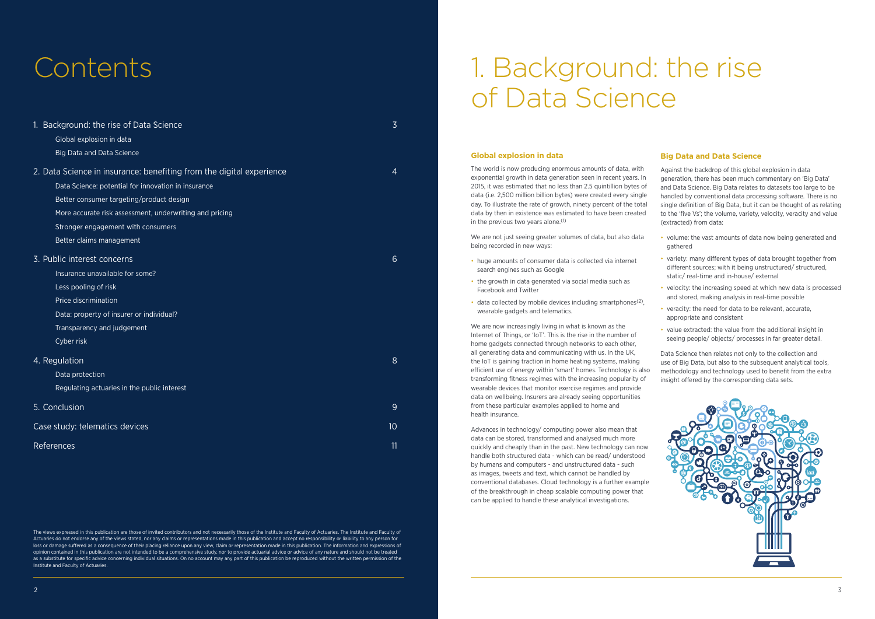## 1. Background: the rise of Data Science

### Contents

| 1. Background: the rise of Data Science<br>Global explosion in data                                                                                                                                                                                                                                                                      | 3               |
|------------------------------------------------------------------------------------------------------------------------------------------------------------------------------------------------------------------------------------------------------------------------------------------------------------------------------------------|-----------------|
| <b>Big Data and Data Science</b><br>2. Data Science in insurance: benefiting from the digital experience<br>Data Science: potential for innovation in insurance<br>Better consumer targeting/product design<br>More accurate risk assessment, underwriting and pricing<br>Stronger engagement with consumers<br>Better claims management | $\overline{4}$  |
| 3. Public interest concerns<br>Insurance unavailable for some?<br>Less pooling of risk<br>Price discrimination<br>Data: property of insurer or individual?<br>Transparency and judgement<br>Cyber risk                                                                                                                                   | 6               |
| 4. Regulation<br>Data protection<br>Regulating actuaries in the public interest                                                                                                                                                                                                                                                          | 8               |
| 5. Conclusion                                                                                                                                                                                                                                                                                                                            | 9               |
| Case study: telematics devices                                                                                                                                                                                                                                                                                                           | 10 <sup>°</sup> |
| <b>References</b>                                                                                                                                                                                                                                                                                                                        | 11              |

#### **Global explosion in data**

- huge amounts of consumer data is collected via internet search engines such as Google
- the growth in data generated via social media such as Facebook and Twitter
- $\bullet$  data collected by mobile devices including smartphones<sup>(2)</sup>, wearable gadgets and telematics.

The world is now producing enormous amounts of data, with exponential growth in data generation seen in recent years. In 2015, it was estimated that no less than 2.5 quintillion bytes of data (i.e. 2,500 million billion bytes) were created every single day. To illustrate the rate of growth, ninety percent of the total data by then in existence was estimated to have been created in the previous two years alone.(1)

We are now increasingly living in what is known as the Internet of Things, or 'IoT'. This is the rise in the number of home gadgets connected through networks to each other, all generating data and communicating with us. In the UK, the IoT is gaining traction in home heating systems, making efficient use of energy within 'smart' homes. Technology is also transforming fitness regimes with the increasing popularity of wearable devices that monitor exercise regimes and provide data on wellbeing. Insurers are already seeing opportunities from these particular examples applied to home and health insurance.

We are not just seeing greater volumes of data, but also data being recorded in new ways:

- volume: the vast amounts of data now being generated and gathered
- variety: many different types of data brought together from different sources; with it being unstructured/ structured, static/ real-time and in-house/ external
- velocity: the increasing speed at which new data is processed and stored, making analysis in real-time possible
- veracity: the need for data to be relevant, accurate, appropriate and consistent
- value extracted: the value from the additional insight in seeing people/ objects/ processes in far greater detail.

The views expressed in this publication are those of invited contributors and not necessarily those of the Institute and Faculty of Actuaries. The Institute and Faculty of Actuaries do not endorse any of the views stated, nor any claims or representations made in this publication and accept no responsibility or liability to any person for loss or damage suffered as a consequence of their placing reliance upon any view, claim or representation made in this publication. The information and expressions of opinion contained in this publication are not intended to be a comprehensive study, nor to provide actuarial advice or advice of any nature and should not be treated as a substitute for specific advice concerning individual situations. On no account may any part of this publication be reproduced without the written permission of the Institute and Faculty of Actuaries.

Advances in technology/ computing power also mean that data can be stored, transformed and analysed much more quickly and cheaply than in the past. New technology can now handle both structured data - which can be read/ understood by humans and computers - and unstructured data - such as images, tweets and text, which cannot be handled by conventional databases. Cloud technology is a further example of the breakthrough in cheap scalable computing power that can be applied to handle these analytical investigations.

#### **Big Data and Data Science**

Against the backdrop of this global explosion in data generation, there has been much commentary on 'Big Data' and Data Science. Big Data relates to datasets too large to be handled by conventional data processing software. There is no single definition of Big Data, but it can be thought of as relating to the 'five Vs'; the volume, variety, velocity, veracity and value (extracted) from data:

Data Science then relates not only to the collection and use of Big Data, but also to the subsequent analytical tools, methodology and technology used to benefit from the extra insight offered by the corresponding data sets.

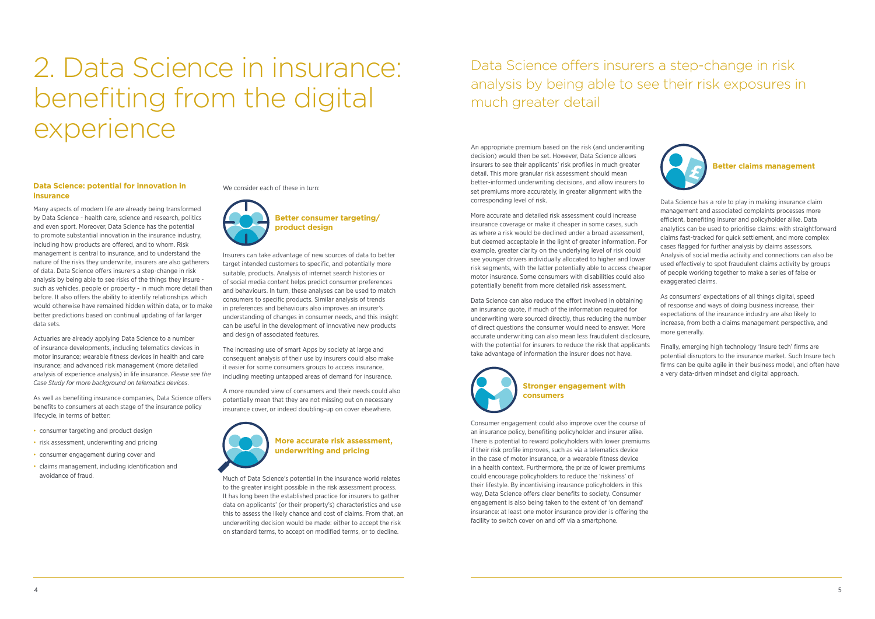## 2. Data Science in insurance: benefiting from the digital experience

An appropriate premium based on the risk (and underwriting decision) would then be set. However, Data Science allows insurers to see their applicants' risk profiles in much greater detail. This more granular risk assessment should mean better-informed underwriting decisions, and allow insurers to set premiums more accurately, in greater alignment with the corresponding level of risk.

More accurate and detailed risk assessment could increase insurance coverage or make it cheaper in some cases, such as where a risk would be declined under a broad assessment, but deemed acceptable in the light of greater information. For example, greater clarity on the underlying level of risk could see younger drivers individually allocated to higher and lower risk segments, with the latter potentially able to access cheaper motor insurance. Some consumers with disabilities could also potentially benefit from more detailed risk assessment.

Data Science can also reduce the effort involved in obtaining an insurance quote, if much of the information required for underwriting were sourced directly, thus reducing the number of direct questions the consumer would need to answer. More accurate underwriting can also mean less fraudulent disclosure, with the potential for insurers to reduce the risk that applicants take advantage of information the insurer does not have.



### **Stronger engagement with consumers**

Consumer engagement could also improve over the course of an insurance policy, benefiting policyholder and insurer alike. There is potential to reward policyholders with lower premiums if their risk profile improves, such as via a telematics device in the case of motor insurance, or a wearable fitness device in a health context. Furthermore, the prize of lower premiums could encourage policyholders to reduce the 'riskiness' of their lifestyle. By incentivising insurance policyholders in this way, Data Science offers clear benefits to society. Consumer engagement is also being taken to the extent of 'on demand' insurance: at least one motor insurance provider is offering the facility to switch cover on and off via a smartphone.



- consumer targeting and product design
- risk assessment, underwriting and pricing
- • consumer engagement during cover and
- • claims management, including identification and avoidance of fraud.

#### **Data Science: potential for innovation in insurance**

Many aspects of modern life are already being transformed by Data Science - health care, science and research, politics and even sport. Moreover, Data Science has the potential to promote substantial innovation in the insurance industry, including how products are offered, and to whom. Risk management is central to insurance, and to understand the nature of the risks they underwrite, insurers are also gatherers of data. Data Science offers insurers a step-change in risk analysis by being able to see risks of the things they insure such as vehicles, people or property - in much more detail than before. It also offers the ability to identify relationships which would otherwise have remained hidden within data, or to make better predictions based on continual updating of far larger data sets.

Actuaries are already applying Data Science to a number of insurance developments, including telematics devices in motor insurance; wearable fitness devices in health and care insurance; and advanced risk management (more detailed analysis of experience analysis) in life insurance. *Please see the Case Study for more background on telematics devices*.

As well as benefiting insurance companies, Data Science offers benefits to consumers at each stage of the insurance policy lifecycle, in terms of better:

We consider each of these in turn:



**Better consumer targeting/ product design**

Insurers can take advantage of new sources of data to better target intended customers to specific, and potentially more suitable, products. Analysis of internet search histories or of social media content helps predict consumer preferences and behaviours. In turn, these analyses can be used to match consumers to specific products. Similar analysis of trends in preferences and behaviours also improves an insurer's understanding of changes in consumer needs, and this insight can be useful in the development of innovative new products and design of associated features.

The increasing use of smart Apps by society at large and consequent analysis of their use by insurers could also make it easier for some consumers groups to access insurance, including meeting untapped areas of demand for insurance.

A more rounded view of consumers and their needs could also potentially mean that they are not missing out on necessary insurance cover, or indeed doubling-up on cover elsewhere.



#### **More accurate risk assessment, underwriting and pricing**

Much of Data Science's potential in the insurance world relates to the greater insight possible in the risk assessment process. It has long been the established practice for insurers to gather data on applicants' (or their property's) characteristics and use this to assess the likely chance and cost of claims. From that, an underwriting decision would be made: either to accept the risk on standard terms, to accept on modified terms, or to decline.

#### **Better claims management**

Data Science has a role to play in making insurance claim management and associated complaints processes more efficient, benefiting insurer and policyholder alike. Data analytics can be used to prioritise claims: with straightforward claims fast-tracked for quick settlement, and more complex cases flagged for further analysis by claims assessors. Analysis of social media activity and connections can also be used effectively to spot fraudulent claims activity by groups of people working together to make a series of false or exaggerated claims.

As consumers' expectations of all things digital, speed of response and ways of doing business increase, their expectations of the insurance industry are also likely to increase, from both a claims management perspective, and more generally.

Finally, emerging high technology 'Insure tech' firms are potential disruptors to the insurance market. Such Insure tech firms can be quite agile in their business model, and often have a very data-driven mindset and digital approach.

### Data Science offers insurers a step-change in risk analysis by being able to see their risk exposures in much greater detail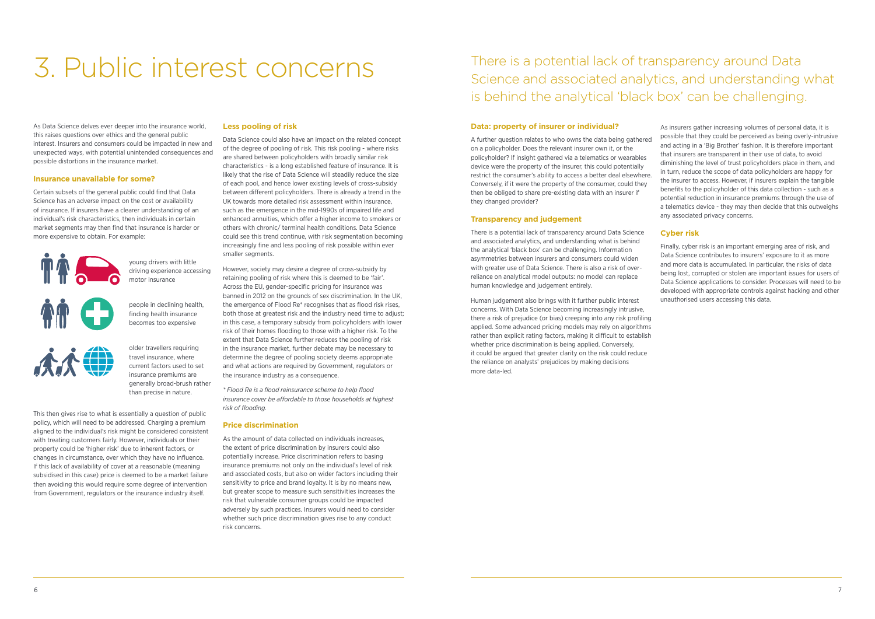## 3. Public interest concerns

#### **Data: property of insurer or individual?**

A further question relates to who owns the data being gathered on a policyholder. Does the relevant insurer own it, or the policyholder? If insight gathered via a telematics or wearables device were the property of the insurer, this could potentially restrict the consumer's ability to access a better deal elsewhere. Conversely, if it were the property of the consumer, could they then be obliged to share pre-existing data with an insurer if they changed provider?

#### **Transparency and judgement**

There is a potential lack of transparency around Data Science and associated analytics, and understanding what is behind the analytical 'black box' can be challenging. Information asymmetries between insurers and consumers could widen with greater use of Data Science. There is also a risk of overreliance on analytical model outputs: no model can replace human knowledge and judgement entirely.

Human judgement also brings with it further public interest concerns. With Data Science becoming increasingly intrusive, there a risk of prejudice (or bias) creeping into any risk profiling applied. Some advanced pricing models may rely on algorithms rather than explicit rating factors, making it difficult to establish whether price discrimination is being applied. Conversely, it could be argued that greater clarity on the risk could reduce the reliance on analysts' prejudices by making decisions more data-led.

As Data Science delves ever deeper into the insurance world, this raises questions over ethics and the general public interest. Insurers and consumers could be impacted in new and unexpected ways, with potential unintended consequences and possible distortions in the insurance market.

#### **Insurance unavailable for some?**

Certain subsets of the general public could find that Data Science has an adverse impact on the cost or availability of insurance. If insurers have a clearer understanding of an individual's risk characteristics, then individuals in certain market segments may then find that insurance is harder or more expensive to obtain. For example:

> young drivers with little driving experience accessing motor insurance people in declining health, finding health insurance becomes too expensive



older travellers requiring travel insurance, where current factors used to set insurance premiums are generally broad-brush rather

than precise in nature.

This then gives rise to what is essentially a question of public policy, which will need to be addressed. Charging a premium aligned to the individual's risk might be considered consistent with treating customers fairly. However, individuals or their property could be 'higher risk' due to inherent factors, or changes in circumstance, over which they have no influence. If this lack of availability of cover at a reasonable (meaning subsidised in this case) price is deemed to be a market failure then avoiding this would require some degree of intervention from Government, regulators or the insurance industry itself.

#### **Less pooling of risk**

Data Science could also have an impact on the related concept of the degree of pooling of risk. This risk pooling - where risks are shared between policyholders with broadly similar risk characteristics - is a long established feature of insurance. It is likely that the rise of Data Science will steadily reduce the size of each pool, and hence lower existing levels of cross-subsidy between different policyholders. There is already a trend in the UK towards more detailed risk assessment within insurance, such as the emergence in the mid-1990s of impaired life and enhanced annuities, which offer a higher income to smokers or others with chronic/ terminal health conditions. Data Science could see this trend continue, with risk segmentation becoming increasingly fine and less pooling of risk possible within ever smaller segments.

However, society may desire a degree of cross-subsidy by retaining pooling of risk where this is deemed to be 'fair'. Across the EU, gender-specific pricing for insurance was banned in 2012 on the grounds of sex discrimination. In the UK, the emergence of Flood Re\* recognises that as flood risk rises, both those at greatest risk and the industry need time to adjust; in this case, a temporary subsidy from policyholders with lower risk of their homes flooding to those with a higher risk. To the extent that Data Science further reduces the pooling of risk in the insurance market, further debate may be necessary to determine the degree of pooling society deems appropriate and what actions are required by Government, regulators or the insurance industry as a consequence.

*\* Flood Re is a flood reinsurance scheme to help flood insurance cover be affordable to those households at highest risk of flooding.* 

#### **Price discrimination**

As the amount of data collected on individuals increases, the extent of price discrimination by insurers could also potentially increase. Price discrimination refers to basing insurance premiums not only on the individual's level of risk and associated costs, but also on wider factors including their sensitivity to price and brand loyalty. It is by no means new, but greater scope to measure such sensitivities increases the risk that vulnerable consumer groups could be impacted adversely by such practices. Insurers would need to consider whether such price discrimination gives rise to any conduct risk concerns.

As insurers gather increasing volumes of personal data, it is possible that they could be perceived as being overly-intrusive and acting in a 'Big Brother' fashion. It is therefore important that insurers are transparent in their use of data, to avoid diminishing the level of trust policyholders place in them, and in turn, reduce the scope of data policyholders are happy for the insurer to access. However, if insurers explain the tangible benefits to the policyholder of this data collection - such as a potential reduction in insurance premiums through the use of a telematics device - they may then decide that this outweighs any associated privacy concerns.

#### **Cyber risk**

Finally, cyber risk is an important emerging area of risk, and Data Science contributes to insurers' exposure to it as more and more data is accumulated. In particular, the risks of data being lost, corrupted or stolen are important issues for users of Data Science applications to consider. Processes will need to be developed with appropriate controls against hacking and other unauthorised users accessing this data.

### There is a potential lack of transparency around Data Science and associated analytics, and understanding what is behind the analytical 'black box' can be challenging.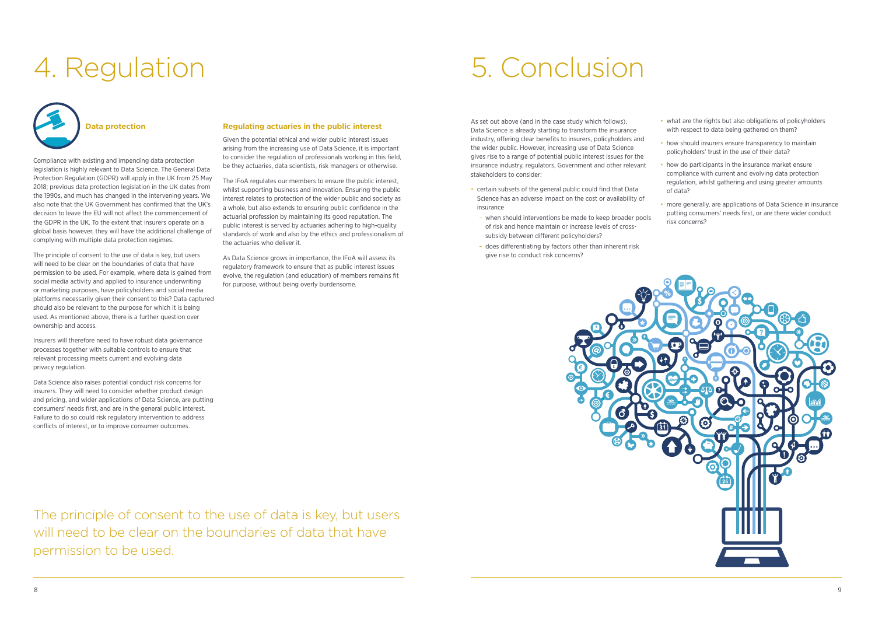As set out above (and in the case study which follows), Data Science is already starting to transform the insurance industry, offering clear benefits to insurers, policyholders and the wider public. However, increasing use of Data Science gives rise to a range of potential public interest issues for the insurance industry, regulators, Government and other relevant stakeholders to consider:

- certain subsets of the general public could find that Data Science has an adverse impact on the cost or availability of insurance
- when should interventions be made to keep broader pools of risk and hence maintain or increase levels of crosssubsidy between different policyholders?
- does differentiating by factors other than inherent risk give rise to conduct risk concerns?



# 4. Regulation 5. Conclusion

**Data protection**

Compliance with existing and impending data protection legislation is highly relevant to Data Science. The General Data Protection Regulation (GDPR) will apply in the UK from 25 May 2018; previous data protection legislation in the UK dates from the 1990s, and much has changed in the intervening years. We also note that the UK Government has confirmed that the UK's decision to leave the EU will not affect the commencement of the GDPR in the UK. To the extent that insurers operate on a global basis however, they will have the additional challenge of complying with multiple data protection regimes.

The principle of consent to the use of data is key, but users will need to be clear on the boundaries of data that have permission to be used. For example, where data is gained from social media activity and applied to insurance underwriting or marketing purposes, have policyholders and social media platforms necessarily given their consent to this? Data captured should also be relevant to the purpose for which it is being used. As mentioned above, there is a further question over ownership and access.

- what are the rights but also obligations of policyholders with respect to data being gathered on them?
- how should insurers ensure transparency to maintain policyholders' trust in the use of their data?
- how do participants in the insurance market ensure compliance with current and evolving data protection regulation, whilst gathering and using greater amounts of data?
- more generally, are applications of Data Science in insurance putting consumers' needs first, or are there wider conduct risk concerns?

Insurers will therefore need to have robust data governance processes together with suitable controls to ensure that relevant processing meets current and evolving data privacy regulation.

Data Science also raises potential conduct risk concerns for insurers. They will need to consider whether product design and pricing, and wider applications of Data Science, are putting consumers' needs first, and are in the general public interest. Failure to do so could risk regulatory intervention to address conflicts of interest, or to improve consumer outcomes.

#### **Regulating actuaries in the public interest**

Given the potential ethical and wider public interest issues arising from the increasing use of Data Science, it is important to consider the regulation of professionals working in this field, be they actuaries, data scientists, risk managers or otherwise.

The IFoA regulates our members to ensure the public interest, whilst supporting business and innovation. Ensuring the public interest relates to protection of the wider public and society as a whole, but also extends to ensuring public confidence in the actuarial profession by maintaining its good reputation. The public interest is served by actuaries adhering to high-quality standards of work and also by the ethics and professionalism of the actuaries who deliver it.

As Data Science grows in importance, the IFoA will assess its regulatory framework to ensure that as public interest issues evolve, the regulation (and education) of members remains fit for purpose, without being overly burdensome.

The principle of consent to the use of data is key, but users will need to be clear on the boundaries of data that have permission to be used.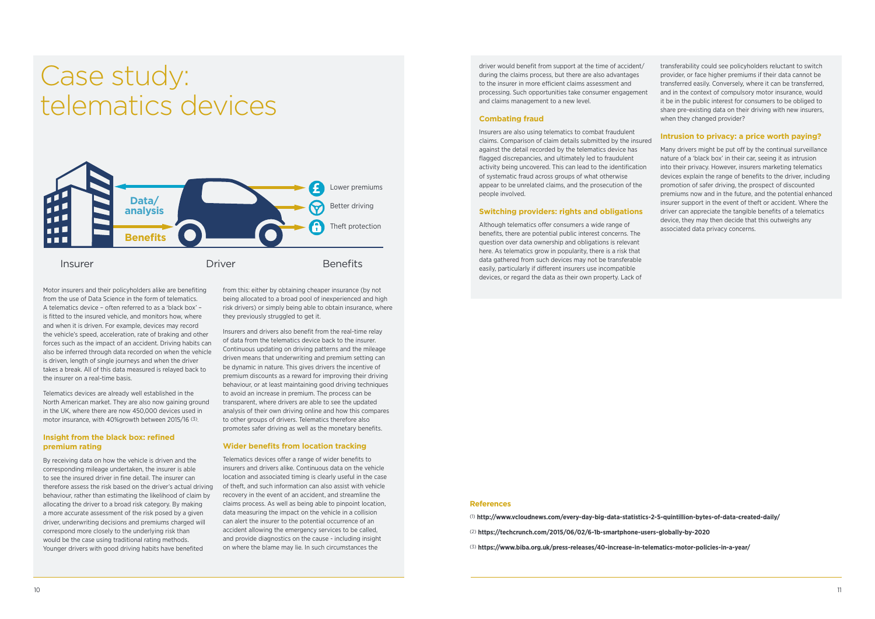### Case study: telematics devices

driver would benefit from support at the time of accident/ during the claims process, but there are also advantages to the insurer in more efficient claims assessment and processing. Such opportunities take consumer engagement and claims management to a new level.

#### **Combating fraud**

Insurers are also using telematics to combat fraudulent claims. Comparison of claim details submitted by the insured against the detail recorded by the telematics device has flagged discrepancies, and ultimately led to fraudulent activity being uncovered. This can lead to the identification of systematic fraud across groups of what otherwise appear to be unrelated claims, and the prosecution of the people involved.

#### **Switching providers: rights and obligations**

Although telematics offer consumers a wide range of benefits, there are potential public interest concerns. The question over data ownership and obligations is relevant here. As telematics grow in popularity, there is a risk that data gathered from such devices may not be transferable easily, particularly if different insurers use incompatible devices, or regard the data as their own property. Lack of

Motor insurers and their policyholders alike are benefiting from the use of Data Science in the form of telematics. A telematics device – often referred to as a 'black box' – is fitted to the insured vehicle, and monitors how, where and when it is driven. For example, devices may record the vehicle's speed, acceleration, rate of braking and other forces such as the impact of an accident. Driving habits can also be inferred through data recorded on when the vehicle is driven, length of single journeys and when the driver takes a break. All of this data measured is relayed back to the insurer on a real-time basis.

Telematics devices are already well established in the North American market. They are also now gaining ground in the UK, where there are now 450,000 devices used in motor insurance, with 40%growth between 2015/16 (3).

#### **Insight from the black box: refined premium rating**

By receiving data on how the vehicle is driven and the corresponding mileage undertaken, the insurer is able to see the insured driver in fine detail. The insurer can therefore assess the risk based on the driver's actual driving behaviour, rather than estimating the likelihood of claim by allocating the driver to a broad risk category. By making a more accurate assessment of the risk posed by a given driver, underwriting decisions and premiums charged will correspond more closely to the underlying risk than would be the case using traditional rating methods. Younger drivers with good driving habits have benefited

from this: either by obtaining cheaper insurance (by not being allocated to a broad pool of inexperienced and high risk drivers) or simply being able to obtain insurance, where they previously struggled to get it.

Insurers and drivers also benefit from the real-time relay of data from the telematics device back to the insurer. Continuous updating on driving patterns and the mileage driven means that underwriting and premium setting can be dynamic in nature. This gives drivers the incentive of premium discounts as a reward for improving their driving behaviour, or at least maintaining good driving techniques to avoid an increase in premium. The process can be transparent, where drivers are able to see the updated analysis of their own driving online and how this compares to other groups of drivers. Telematics therefore also promotes safer driving as well as the monetary benefits.

#### **Wider benefits from location tracking**

Telematics devices offer a range of wider benefits to insurers and drivers alike. Continuous data on the vehicle location and associated timing is clearly useful in the case of theft, and such information can also assist with vehicle recovery in the event of an accident, and streamline the claims process. As well as being able to pinpoint location, data measuring the impact on the vehicle in a collision can alert the insurer to the potential occurrence of an accident allowing the emergency services to be called, and provide diagnostics on the cause - including insight on where the blame may lie. In such circumstances the

transferability could see policyholders reluctant to switch provider, or face higher premiums if their data cannot be transferred easily. Conversely, where it can be transferred, and in the context of compulsory motor insurance, would it be in the public interest for consumers to be obliged to share pre-existing data on their driving with new insurers, when they changed provider?

#### **Intrusion to privacy: a price worth paying?**

Many drivers might be put off by the continual surveillance nature of a 'black box' in their car, seeing it as intrusion into their privacy. However, insurers marketing telematics devices explain the range of benefits to the driver, including promotion of safer driving, the prospect of discounted premiums now and in the future, and the potential enhanced insurer support in the event of theft or accident. Where the driver can appreciate the tangible benefits of a telematics device, they may then decide that this outweighs any associated data privacy concerns.

#### **References**

(1) **[http://www.vcloudnews.com/every-day-big-data-statistics-2-5-quintillion-bytes-of-data-created-daily/](http://http://www.vcloudnews.com/every-day-big-data-statistics-2-5-quintillion-bytes-of-data-created-daily/
)**

- (2) **<https://techcrunch.com/2015/06/02/6-1b-smartphone-users-globally-by-2020>**
- (3) **[https://www.biba.org.uk/press-releases/40-increase-in-telematics-motor-policies-in-a-year/](https://www.biba.org.uk/press-releases/40-increase-in-telematics-motor-policies-in-a-year/
)**